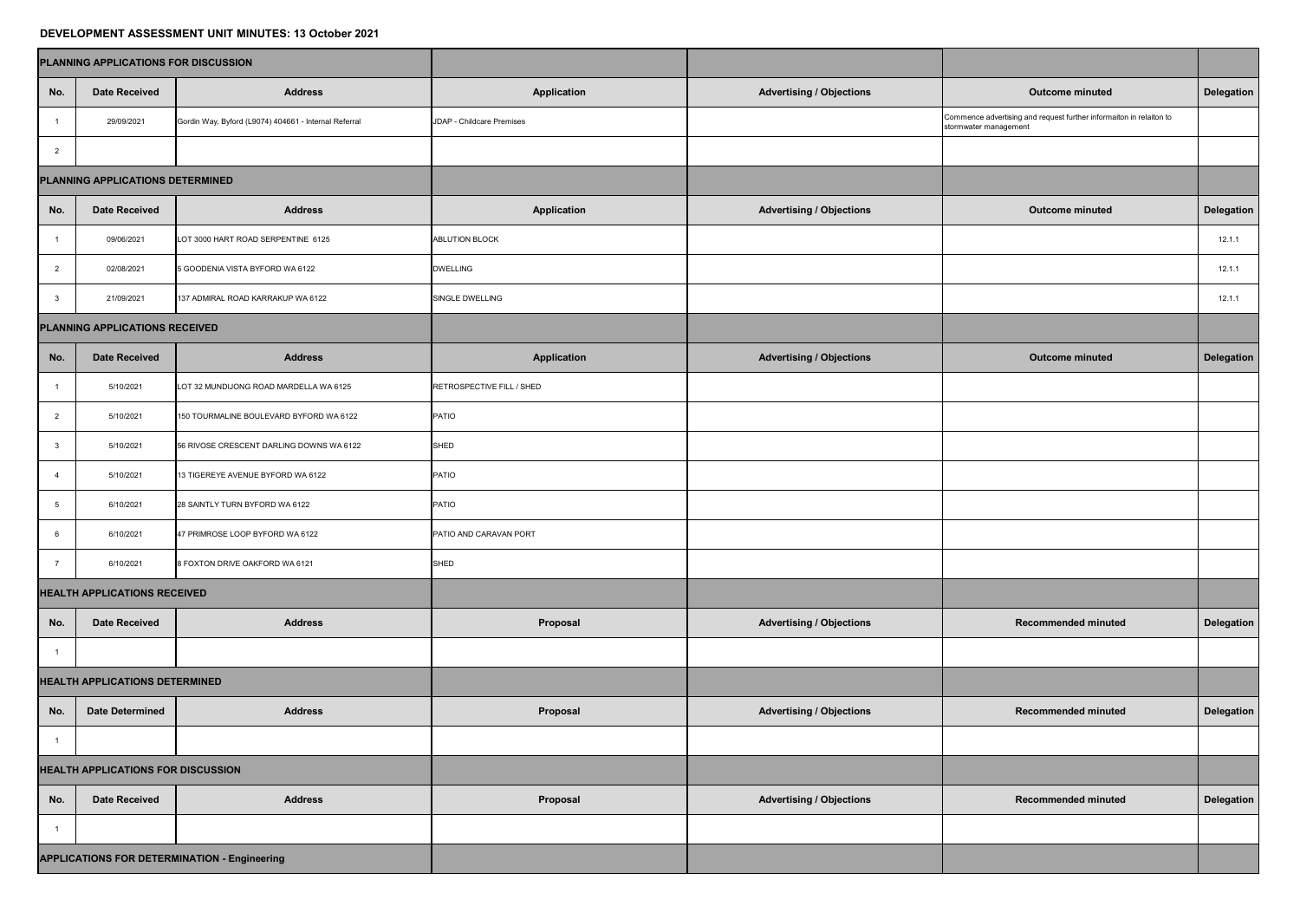## **DEVELOPMENT ASSESSMENT UNIT MINUTES: 13 October 2021**

| PLANNING APPLICATIONS FOR DISCUSSION      |                                  |                                                       |                           |                                 |                                                                                              |                   |
|-------------------------------------------|----------------------------------|-------------------------------------------------------|---------------------------|---------------------------------|----------------------------------------------------------------------------------------------|-------------------|
| No.                                       | <b>Date Received</b>             | <b>Address</b>                                        | <b>Application</b>        | <b>Advertising / Objections</b> | <b>Outcome minuted</b>                                                                       | <b>Delegation</b> |
|                                           | 29/09/2021                       | Gordin Way, Byford (L9074) 404661 - Internal Referral | JDAP - Childcare Premises |                                 | Commence advertising and request further informaiton in relaiton to<br>stormwater management |                   |
| $\overline{2}$                            |                                  |                                                       |                           |                                 |                                                                                              |                   |
|                                           | PLANNING APPLICATIONS DETERMINED |                                                       |                           |                                 |                                                                                              |                   |
| No.                                       | <b>Date Received</b>             | <b>Address</b>                                        | <b>Application</b>        | <b>Advertising / Objections</b> | <b>Outcome minuted</b>                                                                       | <b>Delegation</b> |
|                                           | 09/06/2021                       | LOT 3000 HART ROAD SERPENTINE 6125                    | <b>ABLUTION BLOCK</b>     |                                 |                                                                                              | 12.1.1            |
| $\overline{2}$                            | 02/08/2021                       | 5 GOODENIA VISTA BYFORD WA 6122                       | <b>DWELLING</b>           |                                 |                                                                                              | 12.1.1            |
| $\mathbf{3}$                              | 21/09/2021                       | 137 ADMIRAL ROAD KARRAKUP WA 6122                     | SINGLE DWELLING           |                                 |                                                                                              | 12.1.1            |
| PLANNING APPLICATIONS RECEIVED            |                                  |                                                       |                           |                                 |                                                                                              |                   |
| No.                                       | <b>Date Received</b>             | <b>Address</b>                                        | <b>Application</b>        | <b>Advertising / Objections</b> | <b>Outcome minuted</b>                                                                       | Delegation        |
|                                           | 5/10/2021                        | LOT 32 MUNDIJONG ROAD MARDELLA WA 6125                | RETROSPECTIVE FILL / SHED |                                 |                                                                                              |                   |
|                                           | 5/10/2021                        | 150 TOURMALINE BOULEVARD BYFORD WA 6122               | PATIO                     |                                 |                                                                                              |                   |
| $\mathbf{3}$                              | 5/10/2021                        | 56 RIVOSE CRESCENT DARLING DOWNS WA 6122              | SHED                      |                                 |                                                                                              |                   |
|                                           | 5/10/2021                        | 13 TIGEREYE AVENUE BYFORD WA 6122                     | PATIO                     |                                 |                                                                                              |                   |
| 5                                         | 6/10/2021                        | 28 SAINTLY TURN BYFORD WA 6122                        | PATIO                     |                                 |                                                                                              |                   |
| 6                                         | 6/10/2021                        | 47 PRIMROSE LOOP BYFORD WA 6122                       | PATIO AND CARAVAN PORT    |                                 |                                                                                              |                   |
|                                           | 6/10/2021                        | 8 FOXTON DRIVE OAKFORD WA 6121                        | SHED                      |                                 |                                                                                              |                   |
| <b>HEALTH APPLICATIONS RECEIVED</b>       |                                  |                                                       |                           |                                 |                                                                                              |                   |
| No.                                       | <b>Date Received</b>             | <b>Address</b>                                        | <b>Proposal</b>           | <b>Advertising / Objections</b> | <b>Recommended minuted</b>                                                                   | Delegation        |
|                                           |                                  |                                                       |                           |                                 |                                                                                              |                   |
| <b>HEALTH APPLICATIONS DETERMINED</b>     |                                  |                                                       |                           |                                 |                                                                                              |                   |
| No.                                       | <b>Date Determined</b>           | <b>Address</b>                                        | Proposal                  | <b>Advertising / Objections</b> | <b>Recommended minuted</b>                                                                   | <b>Delegation</b> |
|                                           |                                  |                                                       |                           |                                 |                                                                                              |                   |
| <b>HEALTH APPLICATIONS FOR DISCUSSION</b> |                                  |                                                       |                           |                                 |                                                                                              |                   |
| No.                                       | <b>Date Received</b>             | <b>Address</b>                                        | Proposal                  | <b>Advertising / Objections</b> | <b>Recommended minuted</b>                                                                   | <b>Delegation</b> |
|                                           |                                  |                                                       |                           |                                 |                                                                                              |                   |
|                                           |                                  | <b>APPLICATIONS FOR DETERMINATION - Engineering</b>   |                           |                                 |                                                                                              |                   |
|                                           |                                  |                                                       |                           |                                 |                                                                                              |                   |